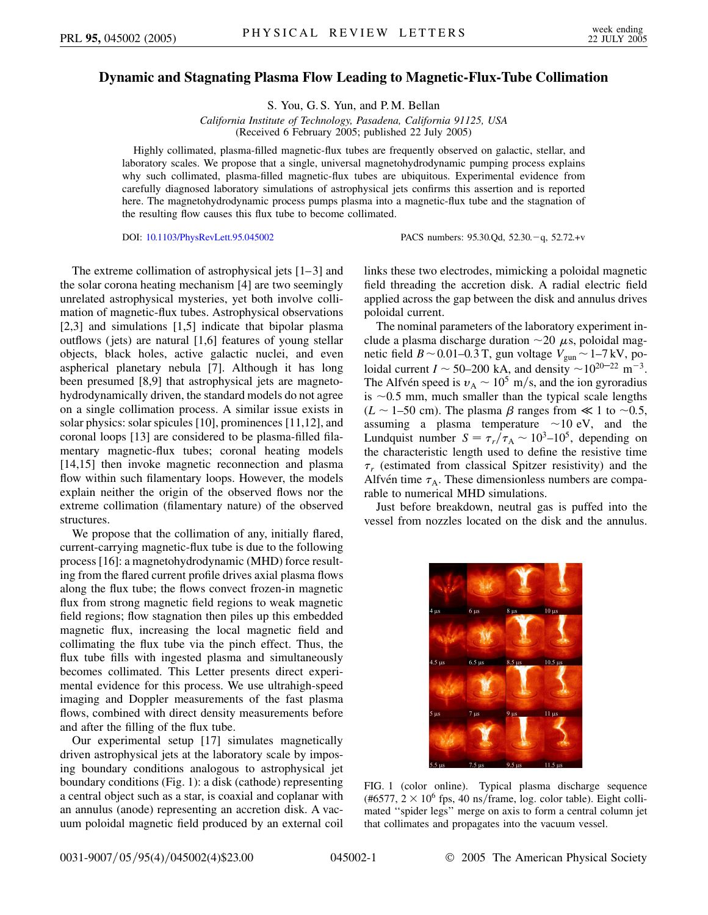## **Dynamic and Stagnating Plasma Flow Leading to Magnetic-Flux-Tube Collimation**

S. You, G. S. Yun, and P. M. Bellan

*California Institute of Technology, Pasadena, California 91125, USA* (Received 6 February 2005; published 22 July 2005)

Highly collimated, plasma-filled magnetic-flux tubes are frequently observed on galactic, stellar, and laboratory scales. We propose that a single, universal magnetohydrodynamic pumping process explains why such collimated, plasma-filled magnetic-flux tubes are ubiquitous. Experimental evidence from carefully diagnosed laboratory simulations of astrophysical jets confirms this assertion and is reported here. The magnetohydrodynamic process pumps plasma into a magnetic-flux tube and the stagnation of the resulting flow causes this flux tube to become collimated.

DOI: [10.1103/PhysRevLett.95.045002](http://dx.doi.org/10.1103/PhysRevLett.95.045002) PACS numbers: 95.30.Qd, 52.30.2q, 52.72.+v

The extreme collimation of astrophysical jets [1–3] and the solar corona heating mechanism [4] are two seemingly unrelated astrophysical mysteries, yet both involve collimation of magnetic-flux tubes. Astrophysical observations [2,3] and simulations [1,5] indicate that bipolar plasma outflows (jets) are natural [1,6] features of young stellar objects, black holes, active galactic nuclei, and even aspherical planetary nebula [7]. Although it has long been presumed [8,9] that astrophysical jets are magnetohydrodynamically driven, the standard models do not agree on a single collimation process. A similar issue exists in solar physics: solar spicules [10], prominences [11,12], and coronal loops [13] are considered to be plasma-filled filamentary magnetic-flux tubes; coronal heating models [14,15] then invoke magnetic reconnection and plasma flow within such filamentary loops. However, the models explain neither the origin of the observed flows nor the extreme collimation (filamentary nature) of the observed structures.

We propose that the collimation of any, initially flared, current-carrying magnetic-flux tube is due to the following process [16]: a magnetohydrodynamic (MHD) force resulting from the flared current profile drives axial plasma flows along the flux tube; the flows convect frozen-in magnetic flux from strong magnetic field regions to weak magnetic field regions; flow stagnation then piles up this embedded magnetic flux, increasing the local magnetic field and collimating the flux tube via the pinch effect. Thus, the flux tube fills with ingested plasma and simultaneously becomes collimated. This Letter presents direct experimental evidence for this process. We use ultrahigh-speed imaging and Doppler measurements of the fast plasma flows, combined with direct density measurements before and after the filling of the flux tube.

Our experimental setup [17] simulates magnetically driven astrophysical jets at the laboratory scale by imposing boundary conditions analogous to astrophysical jet boundary conditions (Fig. 1): a disk (cathode) representing a central object such as a star, is coaxial and coplanar with an annulus (anode) representing an accretion disk. A vacuum poloidal magnetic field produced by an external coil links these two electrodes, mimicking a poloidal magnetic field threading the accretion disk. A radial electric field applied across the gap between the disk and annulus drives poloidal current.

The nominal parameters of the laboratory experiment include a plasma discharge duration  $\sim$  20  $\mu$ s, poloidal magnetic field *B* ~ 0.01–0.3 T, gun voltage  $V_{\text{gun}}$  ~ 1–7 kV, poloidal current  $I \sim 50{\text -}200 \text{ kA}$ , and density  $\sim 10^{20-22} \text{ m}^{-3}$ . The Alfve<sup>n</sup> speed is  $v_A \sim 10^5$  m/s, and the ion gyroradius is  $\sim$ 0.5 mm, much smaller than the typical scale lengths ( $L \sim 1$ –50 cm). The plasma  $\beta$  ranges from  $\ll 1$  to  $\sim 0.5$ , assuming a plasma temperature  $\sim$ 10 eV, and the Lundquist number  $S = \tau_r / \tau_A \sim 10^3 - 10^5$ , depending on the characteristic length used to define the resistive time  $\tau_r$  (estimated from classical Spitzer resistivity) and the Alfvén time  $\tau_A$ . These dimensionless numbers are comparable to numerical MHD simulations.

Just before breakdown, neutral gas is puffed into the vessel from nozzles located on the disk and the annulus.



FIG. 1 (color online). Typical plasma discharge sequence (#6577,  $2 \times 10^6$  fps, 40 ns/frame, log. color table). Eight collimated ''spider legs'' merge on axis to form a central column jet that collimates and propagates into the vacuum vessel.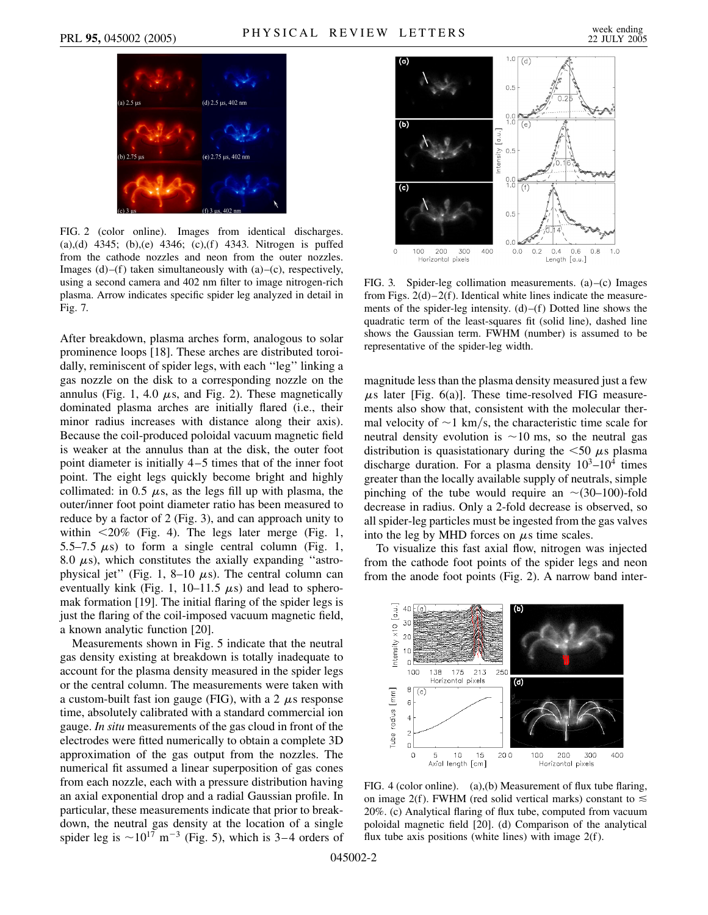

FIG. 2 (color online). Images from identical discharges. (a),(d) 4345; (b),(e) 4346; (c),(f) 4343. Nitrogen is puffed from the cathode nozzles and neon from the outer nozzles. Images  $(d)$ –(f) taken simultaneously with  $(a)$ –(c), respectively, using a second camera and 402 nm filter to image nitrogen-rich plasma. Arrow indicates specific spider leg analyzed in detail in Fig. 7.

After breakdown, plasma arches form, analogous to solar prominence loops [18]. These arches are distributed toroidally, reminiscent of spider legs, with each ''leg'' linking a gas nozzle on the disk to a corresponding nozzle on the annulus (Fig. 1, 4.0  $\mu$ s, and Fig. 2). These magnetically dominated plasma arches are initially flared (i.e., their minor radius increases with distance along their axis). Because the coil-produced poloidal vacuum magnetic field is weaker at the annulus than at the disk, the outer foot point diameter is initially 4–5 times that of the inner foot point. The eight legs quickly become bright and highly collimated: in 0.5  $\mu$ s, as the legs fill up with plasma, the outer/inner foot point diameter ratio has been measured to reduce by a factor of 2 (Fig. 3), and can approach unity to within *<*20% (Fig. 4). The legs later merge (Fig. 1, 5.5–7.5  $\mu$ s) to form a single central column (Fig. 1, 8.0  $\mu$ s), which constitutes the axially expanding "astrophysical jet" (Fig. 1, 8–10  $\mu$ s). The central column can eventually kink (Fig. 1,  $10-11.5 \mu s$ ) and lead to spheromak formation [19]. The initial flaring of the spider legs is just the flaring of the coil-imposed vacuum magnetic field, a known analytic function [20].

Measurements shown in Fig. 5 indicate that the neutral gas density existing at breakdown is totally inadequate to account for the plasma density measured in the spider legs or the central column. The measurements were taken with a custom-built fast ion gauge (FIG), with a 2  $\mu$ s response time, absolutely calibrated with a standard commercial ion gauge. *In situ* measurements of the gas cloud in front of the electrodes were fitted numerically to obtain a complete 3D approximation of the gas output from the nozzles. The numerical fit assumed a linear superposition of gas cones from each nozzle, each with a pressure distribution having an axial exponential drop and a radial Gaussian profile. In particular, these measurements indicate that prior to breakdown, the neutral gas density at the location of a single spider leg is  $\sim 10^{17}$  m<sup>-3</sup> (Fig. 5), which is 3-4 orders of



FIG. 3. Spider-leg collimation measurements. (a)–(c) Images from Figs. 2(d)–2(f). Identical white lines indicate the measurements of the spider-leg intensity. (d)–(f) Dotted line shows the quadratic term of the least-squares fit (solid line), dashed line shows the Gaussian term. FWHM (number) is assumed to be representative of the spider-leg width.

magnitude less than the plasma density measured just a few  $\mu$ s later [Fig. 6(a)]. These time-resolved FIG measurements also show that, consistent with the molecular thermal velocity of  $\sim$ 1 km/s, the characteristic time scale for neutral density evolution is  $\sim$ 10 ms, so the neutral gas distribution is quasistationary during the  $\lt 50 \mu s$  plasma discharge duration. For a plasma density  $10^3-10^4$  times greater than the locally available supply of neutrals, simple pinching of the tube would require an  $\sim$  (30–100)-fold decrease in radius. Only a 2-fold decrease is observed, so all spider-leg particles must be ingested from the gas valves into the leg by MHD forces on  $\mu$ s time scales.

To visualize this fast axial flow, nitrogen was injected from the cathode foot points of the spider legs and neon from the anode foot points (Fig. 2). A narrow band inter-



FIG. 4 (color online). (a),(b) Measurement of flux tube flaring, on image 2(f). FWHM (red solid vertical marks) constant to  $\leq$ 20%. (c) Analytical flaring of flux tube, computed from vacuum poloidal magnetic field [20]. (d) Comparison of the analytical flux tube axis positions (white lines) with image  $2(f)$ .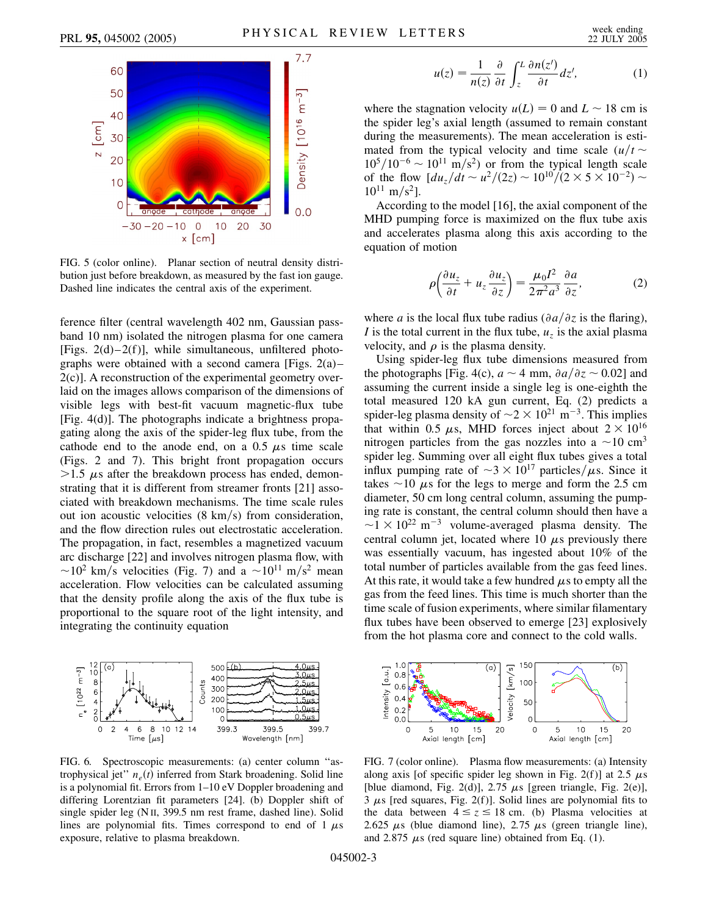

FIG. 5 (color online). Planar section of neutral density distribution just before breakdown, as measured by the fast ion gauge. Dashed line indicates the central axis of the experiment.

ference filter (central wavelength 402 nm, Gaussian passband 10 nm) isolated the nitrogen plasma for one camera [Figs.  $2(d)-2(f)$ ], while simultaneous, unfiltered photographs were obtained with a second camera [Figs.  $2(a)$ – 2(c)]. A reconstruction of the experimental geometry overlaid on the images allows comparison of the dimensions of visible legs with best-fit vacuum magnetic-flux tube [Fig. 4(d)]. The photographs indicate a brightness propagating along the axis of the spider-leg flux tube, from the cathode end to the anode end, on a  $0.5 \mu s$  time scale (Figs. 2 and 7). This bright front propagation occurs  $>1.5$   $\mu$ s after the breakdown process has ended, demonstrating that it is different from streamer fronts [21] associated with breakdown mechanisms. The time scale rules out ion acoustic velocities (8 km/s) from consideration, and the flow direction rules out electrostatic acceleration. The propagation, in fact, resembles a magnetized vacuum arc discharge [22] and involves nitrogen plasma flow, with  $\sim$ 10<sup>2</sup> km/s velocities (Fig. 7) and a  $\sim$ 10<sup>11</sup> m/s<sup>2</sup> mean acceleration. Flow velocities can be calculated assuming that the density profile along the axis of the flux tube is proportional to the square root of the light intensity, and integrating the continuity equation



FIG. 6. Spectroscopic measurements: (a) center column ''astrophysical jet"  $n_e(t)$  inferred from Stark broadening. Solid line is a polynomial fit. Errors from 1–10 eV Doppler broadening and differing Lorentzian fit parameters [24]. (b) Doppler shift of single spider leg (N II, 399.5 nm rest frame, dashed line). Solid lines are polynomial fits. Times correspond to end of 1  $\mu$ s exposure, relative to plasma breakdown.

$$
u(z) = \frac{1}{n(z)} \frac{\partial}{\partial t} \int_{z}^{L} \frac{\partial n(z')}{\partial t} dz', \tag{1}
$$

where the stagnation velocity  $u(L) = 0$  and  $L \sim 18$  cm is the spider leg's axial length (assumed to remain constant during the measurements). The mean acceleration is estimated from the typical velocity and time scale  $(u/t \sim$  $10^5/10^{-6} \sim 10^{11}$  m/s<sup>2</sup>) or from the typical length scale of the flow  $\left[ \frac{du_z}{dt} \sim \frac{u^2}{2z} \right] \sim \frac{10^{10}}{2 \times 5 \times 10^{-2}}$  $10^{11}$  m/s<sup>2</sup>].

According to the model [16], the axial component of the MHD pumping force is maximized on the flux tube axis and accelerates plasma along this axis according to the equation of motion

$$
\rho \left( \frac{\partial u_z}{\partial t} + u_z \frac{\partial u_z}{\partial z} \right) = \frac{\mu_0 I^2}{2\pi^2 a^3} \frac{\partial a}{\partial z},\tag{2}
$$

where *a* is the local flux tube radius ( $\partial a/\partial z$  is the flaring), *I* is the total current in the flux tube,  $u<sub>z</sub>$  is the axial plasma velocity, and  $\rho$  is the plasma density.

Using spider-leg flux tube dimensions measured from the photographs [Fig. 4(c),  $a \sim 4$  mm,  $\partial a/\partial z \sim 0.02$ ] and assuming the current inside a single leg is one-eighth the total measured 120 kA gun current, Eq. (2) predicts a spider-leg plasma density of  $\sim$ 2  $\times$  10<sup>21</sup> m<sup>-3</sup>. This implies that within 0.5  $\mu$ s, MHD forces inject about  $2 \times 10^{16}$ nitrogen particles from the gas nozzles into a  $\sim$ 10 cm<sup>3</sup> spider leg. Summing over all eight flux tubes gives a total influx pumping rate of  $\sim 3 \times 10^{17}$  particles/ $\mu$ s. Since it takes  $\sim$  10  $\mu$ s for the legs to merge and form the 2.5 cm diameter, 50 cm long central column, assuming the pumping rate is constant, the central column should then have a  $\sim$ 1  $\times$  10<sup>22</sup> m<sup>-3</sup> volume-averaged plasma density. The central column jet, located where 10  $\mu$ s previously there was essentially vacuum, has ingested about 10% of the total number of particles available from the gas feed lines. At this rate, it would take a few hundred  $\mu$ s to empty all the gas from the feed lines. This time is much shorter than the time scale of fusion experiments, where similar filamentary flux tubes have been observed to emerge [23] explosively from the hot plasma core and connect to the cold walls.



FIG. 7 (color online). Plasma flow measurements: (a) Intensity along axis [of specific spider leg shown in Fig. 2(f)] at 2.5  $\mu$ s [blue diamond, Fig. 2(d)],  $2.75 \mu s$  [green triangle, Fig. 2(e)],  $3 \mu s$  [red squares, Fig. 2(f)]. Solid lines are polynomial fits to the data between  $4 \le z \le 18$  cm. (b) Plasma velocities at 2.625  $\mu$ s (blue diamond line), 2.75  $\mu$ s (green triangle line), and 2.875  $\mu$ s (red square line) obtained from Eq. (1).